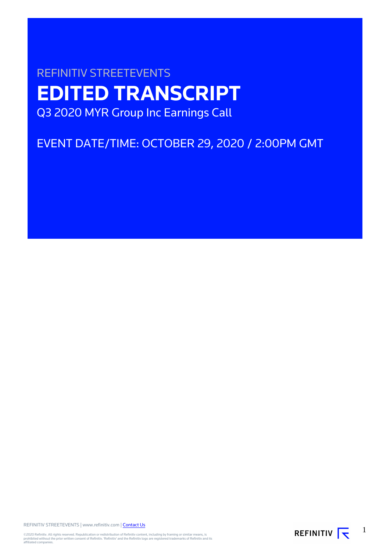# REFINITIV STREETEVENTS **EDITED TRANSCRIPT** Q3 2020 MYR Group Inc Earnings Call

## EVENT DATE/TIME: OCTOBER 29, 2020 / 2:00PM GMT

REFINITIV STREETEVENTS | www.refinitiv.com | [Contact Us](https://www.refinitiv.com/en/contact-us)

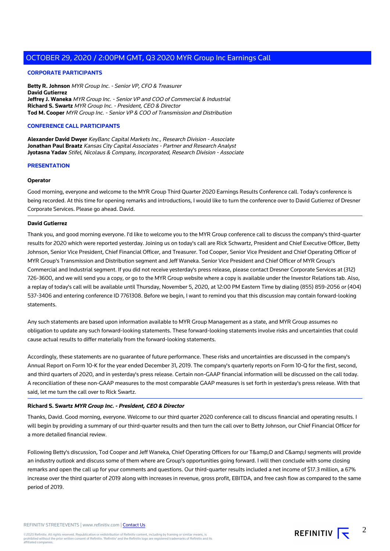#### **CORPORATE PARTICIPANTS**

**Betty R. Johnson** MYR Group Inc. - Senior VP, CFO & Treasurer **David Gutierrez Jeffrey J. Waneka** MYR Group Inc. - Senior VP and COO of Commercial & Industrial **Richard S. Swartz** MYR Group Inc. - President, CEO & Director **Tod M. Cooper** MYR Group Inc. - Senior VP & COO of Transmission and Distribution

#### **CONFERENCE CALL PARTICIPANTS**

**Alexander David Dwyer** KeyBanc Capital Markets Inc., Research Division - Associate **Jonathan Paul Braatz** Kansas City Capital Associates - Partner and Research Analyst **Jyotasna Yadav** Stifel, Nicolaus & Company, Incorporated, Research Division - Associate

#### **PRESENTATION**

#### **Operator**

Good morning, everyone and welcome to the MYR Group Third Quarter 2020 Earnings Results Conference call. Today's conference is being recorded. At this time for opening remarks and introductions, I would like to turn the conference over to David Gutierrez of Dresner Corporate Services. Please go ahead. David.

#### **David Gutierrez**

Thank you, and good morning everyone. I'd like to welcome you to the MYR Group conference call to discuss the company's third-quarter results for 2020 which were reported yesterday. Joining us on today's call are Rick Schwartz, President and Chief Executive Officer, Betty Johnson, Senior Vice President, Chief Financial Officer, and Treasurer. Tod Cooper, Senior Vice President and Chief Operating Officer of MYR Group's Transmission and Distribution segment and Jeff Waneka. Senior Vice President and Chief Officer of MYR Group's Commercial and Industrial segment. If you did not receive yesterday's press release, please contact Dresner Corporate Services at (312) 726-3600, and we will send you a copy, or go to the MYR Group website where a copy is available under the Investor Relations tab. Also, a replay of today's call will be available until Thursday, November 5, 2020, at 12:00 PM Eastern Time by dialing (855) 859-2056 or (404) 537-3406 and entering conference ID 7761308. Before we begin, I want to remind you that this discussion may contain forward-looking statements.

Any such statements are based upon information available to MYR Group Management as a state, and MYR Group assumes no obligation to update any such forward-looking statements. These forward-looking statements involve risks and uncertainties that could cause actual results to differ materially from the forward-looking statements.

Accordingly, these statements are no guarantee of future performance. These risks and uncertainties are discussed in the company's Annual Report on Form 10-K for the year ended December 31, 2019. The company's quarterly reports on Form 10-Q for the first, second, and third quarters of 2020, and in yesterday's press release. Certain non-GAAP financial information will be discussed on the call today. A reconciliation of these non-GAAP measures to the most comparable GAAP measures is set forth in yesterday's press release. With that said, let me turn the call over to Rick Swartz.

#### **Richard S. Swartz MYR Group Inc. - President, CEO & Director**

Thanks, David. Good morning, everyone. Welcome to our third quarter 2020 conference call to discuss financial and operating results. I will begin by providing a summary of our third-quarter results and then turn the call over to Betty Johnson, our Chief Financial Officer for a more detailed financial review.

Following Betty's discussion, Tod Cooper and Jeff Waneka, Chief Operating Officers for our T&D and C&I segments will provide an industry outlook and discuss some of them where are Group's opportunities going forward. I will then conclude with some closing remarks and open the call up for your comments and questions. Our third-quarter results included a net income of \$17.3 million, a 67% increase over the third quarter of 2019 along with increases in revenue, gross profit, EBITDA, and free cash flow as compared to the same period of 2019.

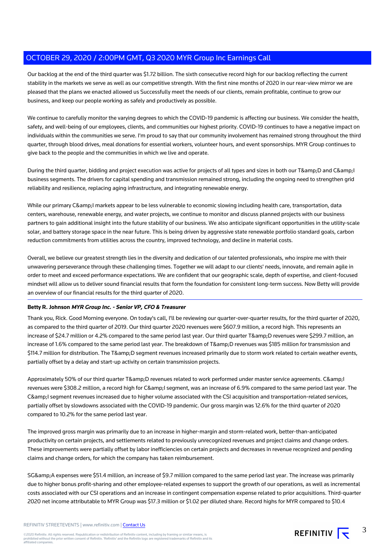Our backlog at the end of the third quarter was \$1.72 billion. The sixth consecutive record high for our backlog reflecting the current stability in the markets we serve as well as our competitive strength. With the first nine months of 2020 in our rear-view mirror we are pleased that the plans we enacted allowed us Successfully meet the needs of our clients, remain profitable, continue to grow our business, and keep our people working as safely and productively as possible.

We continue to carefully monitor the varying degrees to which the COVID-19 pandemic is affecting our business. We consider the health, safety, and well-being of our employees, clients, and communities our highest priority. COVID-19 continues to have a negative impact on individuals within the communities we serve. I'm proud to say that our community involvement has remained strong throughout the third quarter, through blood drives, meal donations for essential workers, volunteer hours, and event sponsorships. MYR Group continues to give back to the people and the communities in which we live and operate.

During the third quarter, bidding and project execution was active for projects of all types and sizes in both our T& D and C& I business segments. The drivers for capital spending and transmission remained strong, including the ongoing need to strengthen grid reliability and resilience, replacing aging infrastructure, and integrating renewable energy.

While our primary C& I markets appear to be less vulnerable to economic slowing including health care, transportation, data centers, warehouse, renewable energy, and water projects, we continue to monitor and discuss planned projects with our business partners to gain additional insight into the future stability of our business. We also anticipate significant opportunities in the utility-scale solar, and battery storage space in the near future. This is being driven by aggressive state renewable portfolio standard goals, carbon reduction commitments from utilities across the country, improved technology, and decline in material costs.

Overall, we believe our greatest strength lies in the diversity and dedication of our talented professionals, who inspire me with their unwavering perseverance through these challenging times. Together we will adapt to our clients' needs, innovate, and remain agile in order to meet and exceed performance expectations. We are confident that our geographic scale, depth of expertise, and client-focused mindset will allow us to deliver sound financial results that form the foundation for consistent long-term success. Now Betty will provide an overview of our financial results for the third quarter of 2020.

#### **Betty R. Johnson MYR Group Inc. - Senior VP, CFO & Treasurer**

Thank you, Rick. Good Morning everyone. On today's call, I'll be reviewing our quarter-over-quarter results, for the third quarter of 2020, as compared to the third quarter of 2019. Our third quarter 2020 revenues were \$607.9 million, a record high. This represents an increase of \$24.7 million or 4.2% compared to the same period last year. Our third quarter T&D revenues were \$299.7 million, an increase of 1.6% compared to the same period last year. The breakdown of T&D revenues was \$185 million for transmission and \$114.7 million for distribution. The T&D segment revenues increased primarily due to storm work related to certain weather events, partially offset by a delay and start-up activity on certain transmission projects.

Approximately 50% of our third quarter T&D revenues related to work performed under master service agreements. C&l revenues were \$308.2 million, a record high for C&I segment, was an increase of 6.9% compared to the same period last year. The C&I segment revenues increased due to higher volume associated with the CSI acquisition and transportation-related services, partially offset by slowdowns associated with the COVID-19 pandemic. Our gross margin was 12.6% for the third quarter of 2020 compared to 10.2% for the same period last year.

The improved gross margin was primarily due to an increase in higher-margin and storm-related work, better-than-anticipated productivity on certain projects, and settlements related to previously unrecognized revenues and project claims and change orders. These improvements were partially offset by labor inefficiencies on certain projects and decreases in revenue recognized and pending claims and change orders, for which the company has taken reimbursement.

SG&A expenses were \$51.4 million, an increase of \$9.7 million compared to the same period last year. The increase was primarily due to higher bonus profit-sharing and other employee-related expenses to support the growth of our operations, as well as incremental costs associated with our CSI operations and an increase in contingent compensation expense related to prior acquisitions. Third-quarter 2020 net income attributable to MYR Group was \$17.3 million or \$1.02 per diluted share. Record highs for MYR compared to \$10.4

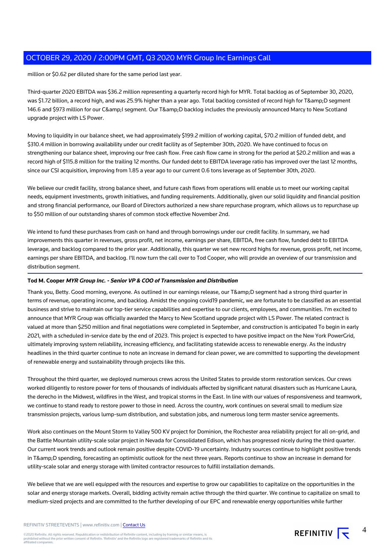million or \$0.62 per diluted share for the same period last year.

Third-quarter 2020 EBITDA was \$36.2 million representing a quarterly record high for MYR. Total backlog as of September 30, 2020, was \$1.72 billion, a record high, and was 25.9% higher than a year ago. Total backlog consisted of record high for T&D segment 146.6 and \$973 million for our C& segment. Our T& D backlog includes the previously announced Marcy to New Scotland upgrade project with LS Power.

Moving to liquidity in our balance sheet, we had approximately \$199.2 million of working capital, \$70.2 million of funded debt, and \$310.4 million in borrowing availability under our credit facility as of September 30th, 2020. We have continued to focus on strengthening our balance sheet, improving our free cash flow. Free cash flow came in strong for the period at \$20.2 million and was a record high of \$115.8 million for the trailing 12 months. Our funded debt to EBITDA leverage ratio has improved over the last 12 months, since our CSI acquisition, improving from 1.85 a year ago to our current 0.6 tons leverage as of September 30th, 2020.

We believe our credit facility, strong balance sheet, and future cash flows from operations will enable us to meet our working capital needs, equipment investments, growth initiatives, and funding requirements. Additionally, given our solid liquidity and financial position and strong financial performance, our Board of Directors authorized a new share repurchase program, which allows us to repurchase up to \$50 million of our outstanding shares of common stock effective November 2nd.

We intend to fund these purchases from cash on hand and through borrowings under our credit facility. In summary, we had improvements this quarter in revenues, gross profit, net income, earnings per share, EBITDA, free cash flow, funded debt to EBITDA leverage, and backlog compared to the prior year. Additionally, this quarter we set new record highs for revenue, gross profit, net income, earnings per share EBITDA, and backlog. I'll now turn the call over to Tod Cooper, who will provide an overview of our transmission and distribution segment.

#### **Tod M. Cooper MYR Group Inc. - Senior VP & COO of Transmission and Distribution**

Thank you, Betty. Good morning, everyone. As outlined in our earnings release, our T&D segment had a strong third quarter in terms of revenue, operating income, and backlog. Amidst the ongoing covid19 pandemic, we are fortunate to be classified as an essential business and strive to maintain our top-tier service capabilities and expertise to our clients, employees, and communities. I'm excited to announce that MYR Group was officially awarded the Marcy to New Scotland upgrade project with LS Power. The related contract is valued at more than \$250 million and final negotiations were completed in September, and construction is anticipated To begin in early 2021, with a scheduled in-service date by the end of 2023. This project is expected to have positive impact on the New York PowerGrid, ultimately improving system reliability, increasing efficiency, and facilitating statewide access to renewable energy. As the industry headlines in the third quarter continue to note an increase in demand for clean power, we are committed to supporting the development of renewable energy and sustainability through projects like this.

Throughout the third quarter, we deployed numerous crews across the United States to provide storm restoration services. Our crews worked diligently to restore power for tens of thousands of individuals affected by significant natural disasters such as Hurricane Laura, the derecho in the Midwest, wildfires in the West, and tropical storms in the East. In line with our values of responsiveness and teamwork, we continue to stand ready to restore power to those in need. Across the country, work continues on several small to medium size transmission projects, various lump-sum distribution, and substation jobs, and numerous long term master service agreements.

Work also continues on the Mount Storm to Valley 500 KV project for Dominion, the Rochester area reliability project for all on-grid, and the Battle Mountain utility-scale solar project in Nevada for Consolidated Edison, which has progressed nicely during the third quarter. Our current work trends and outlook remain positive despite COVID-19 uncertainty. Industry sources continue to highlight positive trends in T&D spending, forecasting an optimistic outlook for the next three years. Reports continue to show an increase in demand for utility-scale solar and energy storage with limited contractor resources to fulfill installation demands.

We believe that we are well equipped with the resources and expertise to grow our capabilities to capitalize on the opportunities in the solar and energy storage markets. Overall, bidding activity remain active through the third quarter. We continue to capitalize on small to medium-sized projects and are committed to the further developing of our EPC and renewable energy opportunities while further



4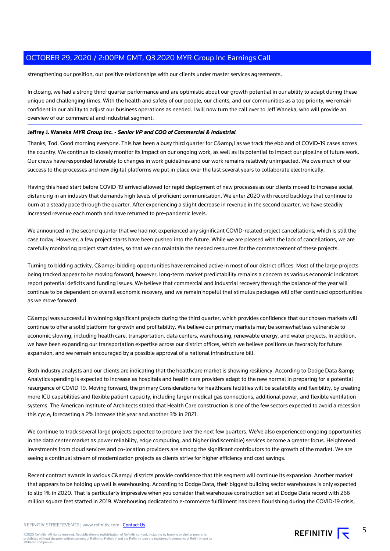strengthening our position, our positive relationships with our clients under master services agreements.

In closing, we had a strong third-quarter performance and are optimistic about our growth potential in our ability to adapt during these unique and challenging times. With the health and safety of our people, our clients, and our communities as a top priority, we remain confident in our ability to adjust our business operations as needed. I will now turn the call over to Jeff Waneka, who will provide an overview of our commercial and industrial segment.

#### **Jeffrey J. Waneka MYR Group Inc. - Senior VP and COO of Commercial & Industrial**

Thanks, Tod. Good morning everyone. This has been a busy third quarter for C&amp: as we track the ebb and of COVID-19 cases across the country. We continue to closely monitor its impact on our ongoing work, as well as its potential to impact our pipeline of future work. Our crews have responded favorably to changes in work guidelines and our work remains relatively unimpacted. We owe much of our success to the processes and new digital platforms we put in place over the last several years to collaborate electronically.

Having this head start before COVID-19 arrived allowed for rapid deployment of new processes as our clients moved to increase social distancing in an industry that demands high levels of proficient communication. We enter 2020 with record backlogs that continue to burn at a steady pace through the quarter. After experiencing a slight decrease in revenue in the second quarter, we have steadily increased revenue each month and have returned to pre-pandemic levels.

We announced in the second quarter that we had not experienced any significant COVID-related project cancellations, which is still the case today. However, a few project starts have been pushed into the future. While we are pleased with the lack of cancellations, we are carefully monitoring project start dates, so that we can maintain the needed resources for the commencement of these projects.

Turning to bidding activity, C& bidding opportunities have remained active in most of our district offices. Most of the large projects being tracked appear to be moving forward, however, long-term market predictability remains a concern as various economic indicators report potential deficits and funding issues. We believe that commercial and industrial recovery through the balance of the year will continue to be dependent on overall economic recovery, and we remain hopeful that stimulus packages will offer continued opportunities as we move forward.

C&amp: I was successful in winning significant projects during the third quarter, which provides confidence that our chosen markets will continue to offer a solid platform for growth and profitability. We believe our primary markets may be somewhat less vulnerable to economic slowing, including health care, transportation, data centers, warehousing, renewable energy, and water projects. In addition, we have been expanding our transportation expertise across our district offices, which we believe positions us favorably for future expansion, and we remain encouraged by a possible approval of a national infrastructure bill.

Both industry analysts and our clients are indicating that the healthcare market is showing resiliency. According to Dodge Data & amp: Analytics spending is expected to increase as hospitals and health care providers adapt to the new normal in preparing for a potential resurgence of COVID-19. Moving forward, the primary Considerations for healthcare facilities will be scalability and flexibility, by creating more ICU capabilities and flexible patient capacity, including larger medical gas connections, additional power, and flexible ventilation systems. The American Institute of Architects stated that Health Care construction is one of the few sectors expected to avoid a recession this cycle, forecasting a 2% increase this year and another 3% in 2021.

We continue to track several large projects expected to procure over the next few quarters. We've also experienced ongoing opportunities in the data center market as power reliability, edge computing, and higher (indiscernible) services become a greater focus. Heightened investments from cloud services and co-location providers are among the significant contributors to the growth of the market. We are seeing a continual stream of modernization projects as clients strive for higher efficiency and cost savings.

Recent contract awards in various C&I districts provide confidence that this segment will continue its expansion. Another market that appears to be holding up well is warehousing. According to Dodge Data, their biggest building sector warehouses is only expected to slip 1% in 2020. That is particularly impressive when you consider that warehouse construction set at Dodge Data record with 266 million square feet started in 2019. Warehousing dedicated to e-commerce fulfillment has been flourishing during the COVID-19 crisis,

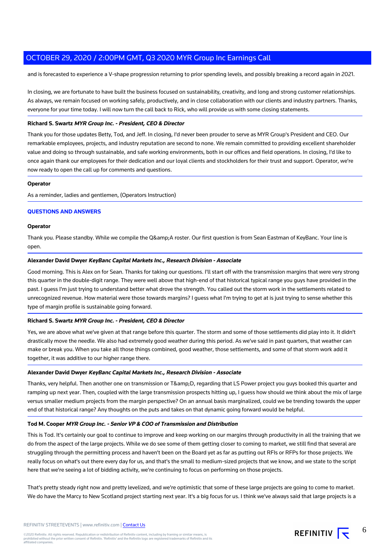and is forecasted to experience a V-shape progression returning to prior spending levels, and possibly breaking a record again in 2021.

In closing, we are fortunate to have built the business focused on sustainability, creativity, and long and strong customer relationships. As always, we remain focused on working safely, productively, and in close collaboration with our clients and industry partners. Thanks, everyone for your time today. I will now turn the call back to Rick, who will provide us with some closing statements.

#### **Richard S. Swartz MYR Group Inc. - President, CEO & Director**

Thank you for those updates Betty, Tod, and Jeff. In closing, I'd never been prouder to serve as MYR Group's President and CEO. Our remarkable employees, projects, and industry reputation are second to none. We remain committed to providing excellent shareholder value and doing so through sustainable, and safe working environments, both in our offices and field operations. In closing, I'd like to once again thank our employees for their dedication and our loyal clients and stockholders for their trust and support. Operator, we're now ready to open the call up for comments and questions.

#### **Operator**

As a reminder, ladies and gentlemen, (Operators Instruction)

#### **QUESTIONS AND ANSWERS**

#### **Operator**

Thank you. Please standby. While we compile the Q&A roster. Our first question is from Sean Eastman of KeyBanc. Your line is open.

#### **Alexander David Dwyer KeyBanc Capital Markets Inc., Research Division - Associate**

Good morning. This is Alex on for Sean. Thanks for taking our questions. I'll start off with the transmission margins that were very strong this quarter in the double-digit range. They were well above that high-end of that historical typical range you guys have provided in the past. I guess I'm just trying to understand better what drove the strength. You called out the storm work in the settlements related to unrecognized revenue. How material were those towards margins? I guess what I'm trying to get at is just trying to sense whether this type of margin profile is sustainable going forward.

#### **Richard S. Swartz MYR Group Inc. - President, CEO & Director**

Yes, we are above what we've given at that range before this quarter. The storm and some of those settlements did play into it. It didn't drastically move the needle. We also had extremely good weather during this period. As we've said in past quarters, that weather can make or break you. When you take all those things combined, good weather, those settlements, and some of that storm work add it together, it was additive to our higher range there.

#### **Alexander David Dwyer KeyBanc Capital Markets Inc., Research Division - Associate**

Thanks, very helpful. Then another one on transmission or T&D, regarding that LS Power project you guys booked this quarter and ramping up next year. Then, coupled with the large transmission prospects hitting up, I guess how should we think about the mix of large versus smaller medium projects from the margin perspective? On an annual basis marginalized, could we be trending towards the upper end of that historical range? Any thoughts on the puts and takes on that dynamic going forward would be helpful.

#### **Tod M. Cooper MYR Group Inc. - Senior VP & COO of Transmission and Distribution**

This is Tod. It's certainly our goal to continue to improve and keep working on our margins through productivity in all the training that we do from the aspect of the large projects. While we do see some of them getting closer to coming to market, we still find that several are struggling through the permitting process and haven't been on the Board yet as far as putting out RFIs or RFPs for those projects. We really focus on what's out there every day for us, and that's the small to medium-sized projects that we know, and we state to the script here that we're seeing a lot of bidding activity, we're continuing to focus on performing on those projects.

That's pretty steady right now and pretty levelized, and we're optimistic that some of these large projects are going to come to market. We do have the Marcy to New Scotland project starting next year. It's a big focus for us. I think we've always said that large projects is a



6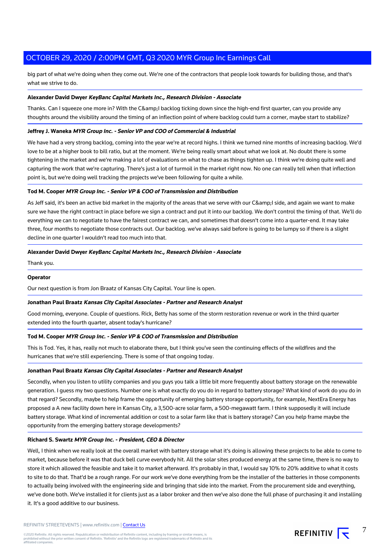big part of what we're doing when they come out. We're one of the contractors that people look towards for building those, and that's what we strive to do.

#### **Alexander David Dwyer KeyBanc Capital Markets Inc., Research Division - Associate**

Thanks. Can I squeeze one more in? With the C& backlog ticking down since the high-end first quarter, can you provide any thoughts around the visibility around the timing of an inflection point of where backlog could turn a corner, maybe start to stabilize?

#### **Jeffrey J. Waneka MYR Group Inc. - Senior VP and COO of Commercial & Industrial**

We have had a very strong backlog, coming into the year we're at record highs. I think we turned nine months of increasing backlog. We'd love to be at a higher book to bill ratio, but at the moment. We're being really smart about what we look at. No doubt there is some tightening in the market and we're making a lot of evaluations on what to chase as things tighten up. I think we're doing quite well and capturing the work that we're capturing. There's just a lot of turmoil in the market right now. No one can really tell when that inflection point is, but we're doing well tracking the projects we've been following for quite a while.

#### **Tod M. Cooper MYR Group Inc. - Senior VP & COO of Transmission and Distribution**

As Jeff said, it's been an active bid market in the majority of the areas that we serve with our C& I side, and again we want to make sure we have the right contract in place before we sign a contract and put it into our backlog. We don't control the timing of that. We'll do everything we can to negotiate to have the fairest contract we can, and sometimes that doesn't come into a quarter-end. It may take three, four months to negotiate those contracts out. Our backlog. we've always said before is going to be lumpy so if there is a slight decline in one quarter I wouldn't read too much into that.

#### **Alexander David Dwyer KeyBanc Capital Markets Inc., Research Division - Associate**

Thank you.

#### **Operator**

Our next question is from Jon Braatz of Kansas City Capital. Your line is open.

#### **Jonathan Paul Braatz Kansas City Capital Associates - Partner and Research Analyst**

Good morning, everyone. Couple of questions. Rick, Betty has some of the storm restoration revenue or work in the third quarter extended into the fourth quarter, absent today's hurricane?

#### **Tod M. Cooper MYR Group Inc. - Senior VP & COO of Transmission and Distribution**

This is Tod. Yes, it has, really not much to elaborate there, but I think you've seen the continuing effects of the wildfires and the hurricanes that we're still experiencing. There is some of that ongoing today.

#### **Jonathan Paul Braatz Kansas City Capital Associates - Partner and Research Analyst**

Secondly, when you listen to utility companies and you guys you talk a little bit more frequently about battery storage on the renewable generation. I guess my two questions. Number one is what exactly do you do in regard to battery storage? What kind of work do you do in that regard? Secondly, maybe to help frame the opportunity of emerging battery storage opportunity, for example, NextEra Energy has proposed a A new facility down here in Kansas City, a 3,500-acre solar farm, a 500-megawatt farm. I think supposedly it will include battery storage. What kind of incremental addition or cost to a solar farm like that is battery storage? Can you help frame maybe the opportunity from the emerging battery storage developments?

#### **Richard S. Swartz MYR Group Inc. - President, CEO & Director**

Well, I think when we really look at the overall market with battery storage what it's doing is allowing these projects to be able to come to market, because before it was that duck bell curve everybody hit. All the solar sites produced energy at the same time, there is no way to store it which allowed the feasible and take it to market afterward. It's probably in that, I would say 10% to 20% additive to what it costs to site to do that. That'd be a rough range. For our work we've done everything from be the installer of the batteries in those components to actually being involved with the engineering side and bringing that side into the market. From the procurement side and everything, we've done both. We've installed it for clients just as a labor broker and then we've also done the full phase of purchasing it and installing it. It's a good additive to our business.

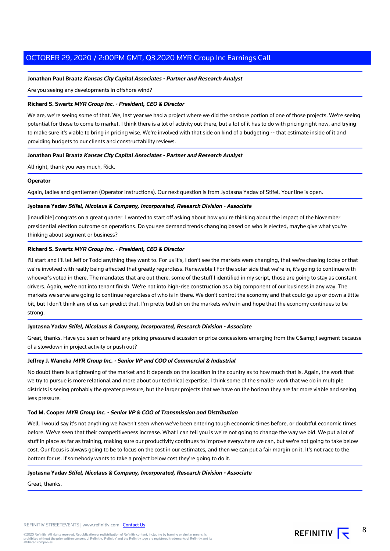#### **Jonathan Paul Braatz Kansas City Capital Associates - Partner and Research Analyst**

Are you seeing any developments in offshore wind?

#### **Richard S. Swartz MYR Group Inc. - President, CEO & Director**

We are, we're seeing some of that. We, last year we had a project where we did the onshore portion of one of those projects. We're seeing potential for those to come to market. I think there is a lot of activity out there, but a lot of it has to do with pricing right now, and trying to make sure it's viable to bring in pricing wise. We're involved with that side on kind of a budgeting -- that estimate inside of it and providing budgets to our clients and constructability reviews.

#### **Jonathan Paul Braatz Kansas City Capital Associates - Partner and Research Analyst**

All right, thank you very much, Rick.

#### **Operator**

Again, ladies and gentlemen (Operator Instructions). Our next question is from Jyotasna Yadav of Stifel. Your line is open.

#### **Jyotasna Yadav Stifel, Nicolaus & Company, Incorporated, Research Division - Associate**

[inaudible] congrats on a great quarter. I wanted to start off asking about how you're thinking about the impact of the November presidential election outcome on operations. Do you see demand trends changing based on who is elected, maybe give what you're thinking about segment or business?

#### **Richard S. Swartz MYR Group Inc. - President, CEO & Director**

I'll start and I'll let Jeff or Todd anything they want to. For us it's, I don't see the markets were changing, that we're chasing today or that we're involved with really being affected that greatly regardless. Renewable I For the solar side that we're in, it's going to continue with whoever's voted in there. The mandates that are out there, some of the stuff I identified in my script, those are going to stay as constant drivers. Again, we're not into tenant finish. We're not into high-rise construction as a big component of our business in any way. The markets we serve are going to continue regardless of who is in there. We don't control the economy and that could go up or down a little bit, but I don't think any of us can predict that. I'm pretty bullish on the markets we're in and hope that the economy continues to be strong.

#### **Jyotasna Yadav Stifel, Nicolaus & Company, Incorporated, Research Division - Associate**

Great, thanks. Have you seen or heard any pricing pressure discussion or price concessions emerging from the C&I segment because of a slowdown in project activity or push out?

#### **Jeffrey J. Waneka MYR Group Inc. - Senior VP and COO of Commercial & Industrial**

No doubt there is a tightening of the market and it depends on the location in the country as to how much that is. Again, the work that we try to pursue is more relational and more about our technical expertise. I think some of the smaller work that we do in multiple districts is seeing probably the greater pressure, but the larger projects that we have on the horizon they are far more viable and seeing less pressure.

#### **Tod M. Cooper MYR Group Inc. - Senior VP & COO of Transmission and Distribution**

Well, I would say it's not anything we haven't seen when we've been entering tough economic times before, or doubtful economic times before. We've seen that their competitiveness increase. What I can tell you is we're not going to change the way we bid. We put a lot of stuff in place as far as training, making sure our productivity continues to improve everywhere we can, but we're not going to take below cost. Our focus is always going to be to focus on the cost in our estimates, and then we can put a fair margin on it. It's not race to the bottom for us. If somebody wants to take a project below cost they're going to do it.

#### **Jyotasna Yadav Stifel, Nicolaus & Company, Incorporated, Research Division - Associate**

Great, thanks.



8